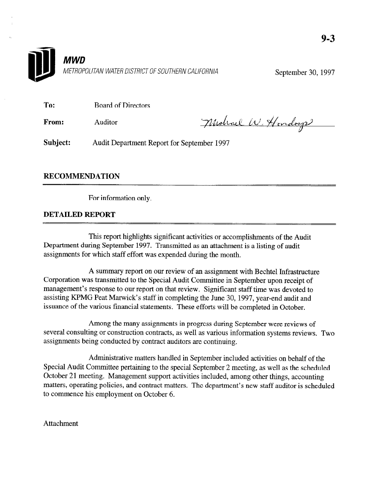

September 30, 1997

To: Board of Directors

From: Auditor

Midrael W. Hondage

Subject: Audit Department Report for September 1997

#### RECOMMENDATION

For information only.

#### DETAILED REPORT

This report highlights significant activities or accomplishments of the Audit Department during September 1997. Transmitted as an attachment is a listing of audit assignments for which staff effort was expended during the month.

A summary report on our review of an assignment with Bechtel Infrastructure Corporation was transmitted to the Special Audit Committee in September upon receipt of management's response to our report on that review. Significant staff time was devoted to assisting KPMG Peat Marwick's staff in completing the June 30, 1997, year-end audit and issuance of the various financial statements. These efforts will be completed in October.

Among the many assignments in progress during September were reviews of several consulting or construction contracts, as well as various information systems reviews. Two assignments being conducted by contract auditors are continuing.

Administrative matters handled in September included activities on behalf of the Special Audit Committee pertaining to the special September 2 meeting, as well as the scheduled October 21 meeting. Management support activities included, among other things, accounting matters, operating policies, and contract matters. The department's new staff auditor is scheduled to commence his employment on October 6.

Attachment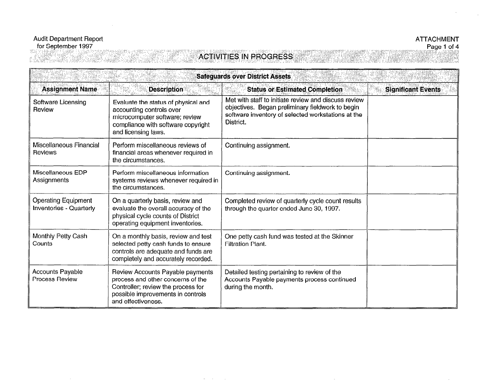#### Audit Department Report<br>for September 1997 tille.<br>Tille

# ATTACHMENT<br>Page 1 of 4

trag

 $\sim$ 

## **ACTIVITIES IN PROGRESS**

| <b>Safeguards over District Assets</b>                       |                                                                                                                                                                        |                                                                                                                                                                             |                           |  |
|--------------------------------------------------------------|------------------------------------------------------------------------------------------------------------------------------------------------------------------------|-----------------------------------------------------------------------------------------------------------------------------------------------------------------------------|---------------------------|--|
| <b>Assignment Name</b>                                       | <b>Description</b>                                                                                                                                                     | <b>Status or Estimated Completion</b>                                                                                                                                       | <b>Significant Events</b> |  |
| Software Licensing<br>Review                                 | Evaluate the status of physical and<br>accounting controls over<br>microcomputer software; review<br>compliance with software copyright<br>and licensing laws.         | Met with staff to initiate review and discuss review<br>objectives. Began preliminary fieldwork to begin<br>software inventory of selected workstations at the<br>District. |                           |  |
| Miscellaneous Financial<br>Reviews                           | Perform miscellaneous reviews of<br>financial areas whenever required in<br>the circumstances.                                                                         | Continuing assignment.                                                                                                                                                      |                           |  |
| Miscellaneous EDP<br>Assignments                             | Perform miscellaneous information<br>systems reviews whenever required in<br>the circumstances.                                                                        | Continuing assignment.                                                                                                                                                      |                           |  |
| <b>Operating Equipment</b><br><b>Inventories - Quarterly</b> | On a quarterly basis, review and<br>evaluate the overall accuracy of the<br>physical cycle counts of District<br>operating equipment inventories.                      | Completed review of quarterly cycle count results<br>through the quarter ended June 30, 1997.                                                                               |                           |  |
| Monthly Petty Cash<br>Counts                                 | On a monthly basis, review and test<br>selected petty cash funds to ensure<br>controls are adequate and funds are<br>completely and accurately recorded.               | One petty cash fund was tested at the Skinner<br><b>Filtration Plant.</b>                                                                                                   |                           |  |
| Accounts Payable<br><b>Process Review</b>                    | Review Accounts Payable payments<br>process and other concerns of the<br>Controller; review the process for<br>possible improvements in controls<br>and effectiveness. | Detailed testing pertaining to review of the<br>Accounts Payable payments process continued<br>during the month.                                                            |                           |  |

 $\sim$ 

 $\sim$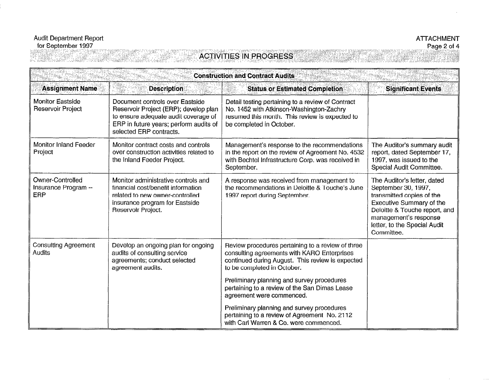# ATTACHMENT<br>Page 2 of 4

### **ACTIVITIES IN PROGRESS**

| <b>Construction and Contract Audits</b>                |                                                                                                                                                                                       |                                                                                                                                                                                     |                                                                                                                                                                                                                     |
|--------------------------------------------------------|---------------------------------------------------------------------------------------------------------------------------------------------------------------------------------------|-------------------------------------------------------------------------------------------------------------------------------------------------------------------------------------|---------------------------------------------------------------------------------------------------------------------------------------------------------------------------------------------------------------------|
| <b>Assignment Name</b>                                 | <b>Description</b>                                                                                                                                                                    | <b>Status or Estimated Completion</b>                                                                                                                                               | <b>Significant Events</b>                                                                                                                                                                                           |
| <b>Monitor Eastside</b><br><b>Reservoir Project</b>    | Document controls over Eastside<br>Reservoir Project (ERP); develop plan<br>to ensure adequate audit coverage of<br>ERP in future years; perform audits of<br>selected ERP contracts. | Detail testing pertaining to a review of Contract<br>No. 1452 with Atkinson-Washington-Zachry<br>resumed this month. This review is expected to<br>be completed in October.         |                                                                                                                                                                                                                     |
| Monitor Inland Feeder<br>Project                       | Monitor contract costs and controls<br>over construction activities related to<br>the Inland Feeder Project.                                                                          | Management's response to the recommendations<br>in the report on the review of Agreement No. 4532<br>with Bechtel Infrastructure Corp. was received in<br>September.                | The Auditor's summary audit<br>report, dated September 17,<br>1997, was issued to the<br>Special Audit Committee.                                                                                                   |
| Owner-Controlled<br>Insurance Program --<br><b>ERP</b> | Monitor administrative controls and<br>financial cost/benefit information<br>related to new owner-controlled<br>insurance program for Eastside<br>Reservoir Project.                  | A response was received from management to<br>the recommendations in Deloitte & Touche's June<br>1997 report during September.                                                      | The Auditor's letter, dated<br>September 30, 1997,<br>transmitted copies of the<br>Executive Summary of the<br>Deloitte & Touche report, and<br>management's response<br>letter, to the Special Audit<br>Committee. |
| <b>Consulting Agreement</b><br>Audits                  | Develop an ongoing plan for ongoing<br>audits of consulting service<br>agreements; conduct selected<br>agreement audits.                                                              | Review procedures pertaining to a review of three<br>consulting agreements with KARO Enterprises<br>continued during August. This review is expected<br>to be completed in October. |                                                                                                                                                                                                                     |
|                                                        |                                                                                                                                                                                       | Preliminary planning and survey procedures<br>pertaining to a review of the San Dimas Lease<br>agreement were commenced.                                                            |                                                                                                                                                                                                                     |
|                                                        |                                                                                                                                                                                       | Preliminary planning and survey procedures<br>pertaining to a review of Agreement No. 2112<br>with Carl Warren & Co. were commenced.                                                |                                                                                                                                                                                                                     |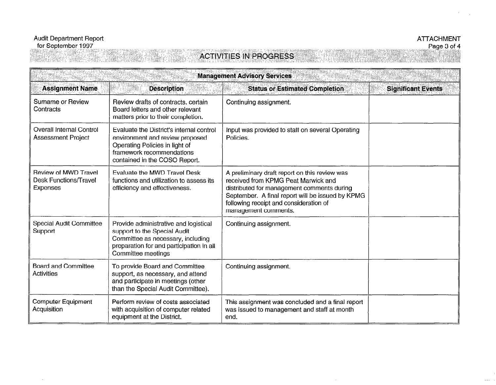1831 - 1918

 $\sim$ 

NG 2

## **ACTIVITIES IN PROGRESS**

| <b>Management Advisory Services</b>                                     |                                                                                                                                                                              |                                                                                                                                                                                                                                                          |                           |
|-------------------------------------------------------------------------|------------------------------------------------------------------------------------------------------------------------------------------------------------------------------|----------------------------------------------------------------------------------------------------------------------------------------------------------------------------------------------------------------------------------------------------------|---------------------------|
| <b>Assignment Name</b>                                                  | <b>Description</b>                                                                                                                                                           | <b>Status or Estimated Completion</b>                                                                                                                                                                                                                    | <b>Significant Events</b> |
| Surname or Review<br>Contracts                                          | Review drafts of contracts, certain<br>Board letters and other relevant<br>matters prior to their completion.                                                                | Continuing assignment.                                                                                                                                                                                                                                   |                           |
| <b>Overall Internal Control</b><br><b>Assessment Project</b>            | Evaluate the District's internal control<br>environment and review proposed<br>Operating Policies in light of<br>framework recommendations<br>contained in the COSO Report.  | Input was provided to staff on several Operating<br>Policies.                                                                                                                                                                                            |                           |
| <b>Review of MWD Travel</b><br><b>Desk Functions/Travel</b><br>Expenses | Evaluate the MWD Travel Desk<br>functions and utilization to assess its<br>efficiency and effectiveness.                                                                     | A preliminary draft report on this review was<br>received from KPMG Peat Marwick and<br>distributed for management comments during<br>September. A final report will be issued by KPMG<br>following receipt and consideration of<br>management comments. |                           |
| <b>Special Audit Committee</b><br>Support                               | Provide administrative and logistical<br>support to the Special Audit<br>Committee as necessary, including<br>preparation for and participation in all<br>Committee meetings | Continuing assignment.                                                                                                                                                                                                                                   |                           |
| <b>Board and Committee</b><br>Activities                                | To provide Board and Committee<br>support, as necessary, and attend<br>and participate in meetings (other<br>than the Special Audit Committee).                              | Continuing assignment.                                                                                                                                                                                                                                   |                           |
| <b>Computer Equipment</b><br>Acquisition                                | Perform review of costs associated<br>with acquisition of computer related<br>equipment at the District.                                                                     | This assignment was concluded and a final report<br>was issued to management and staff at month<br>end.                                                                                                                                                  |                           |